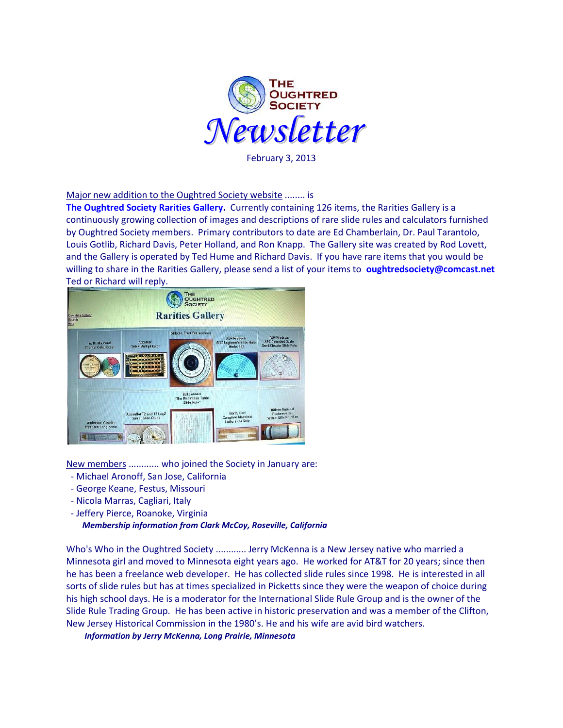

February 3, 2013

Major new addition to the Oughtred Society website ........ is

**[The Oughtred Society Rarities Gallery.](http://osgalleries.org/os/index.html)** Currently containing 126 items, the Rarities Gallery is a continuously growing collection of images and descriptions of rare slide rules and calculators furnished by Oughtred Society members. Primary contributors to date are Ed Chamberlain, Dr. Paul Tarantolo, Louis Gotlib, Richard Davis, Peter Holland, and Ron Knapp. The Gallery site was created by Rod Lovett, and the Gallery is operated by Ted Hume and Richard Davis. If you have rare items that you would be willing to share in the Rarities Gallery, please send a list of your items to **<oughtredsociety@comcast.net>** Ted or Richard will reply.



New members ............ who joined the Society in January are:

- Michael Aronoff, San Jose, California
- George Keane, Festus, Missouri
- Nicola Marras, Cagliari, Italy
- Jeffery Pierce, Roanoke, Virginia

*Membership information from Clark McCoy, Roseville, California*

Who's Who in the Oughtred Society ............ Jerry McKenna is a New Jersey native who married a Minnesota girl and moved to Minnesota eight years ago. He worked for AT&T for 20 years; since then he has been a freelance web developer. He has collected slide rules since 1998. He is interested in all sorts of slide rules but has at times specialized in Picketts since they were the weapon of choice during his high school days. He is a moderator for the International Slide Rule Group and is the owner of the Slide Rule Trading Group. He has been active in historic preservation and was a member of the Clifton, New Jersey Historical Commission in the 1980's. He and his wife are avid bird watchers.

 *Information by Jerry McKenna, Long Prairie, Minnesota*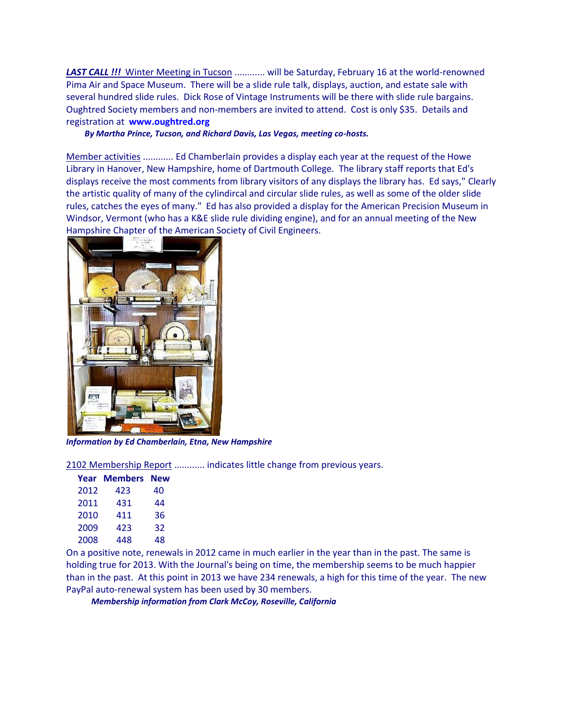**LAST CALL !!!** Winter Meeting in Tucson ............ will be Saturday, February 16 at the world-renowned Pima Air and Space Museum. There will be a slide rule talk, displays, auction, and estate sale with several hundred slide rules. Dick Rose of Vintage Instruments will be there with slide rule bargains. Oughtred Society members and non-members are invited to attend. Cost is only \$35. Details and registration at **[www.oughtred.org](http://www.oughtred.org/)**

## *By Martha Prince, Tucson, and Richard Davis, Las Vegas, meeting co-hosts.*

Member activities ............ Ed Chamberlain provides a display each year at the request of the Howe Library in Hanover, New Hampshire, home of Dartmouth College. The library staff reports that Ed's displays receive the most comments from library visitors of any displays the library has. Ed says," Clearly the artistic quality of many of the cylindircal and circular slide rules, as well as some of the older slide rules, catches the eyes of many." Ed has also provided a display for the American Precision Museum in Windsor, Vermont (who has a K&E slide rule dividing engine), and for an annual meeting of the New Hampshire Chapter of the American Society of Civil Engineers.



*Information by Ed Chamberlain, Etna, New Hampshire*

2102 Membership Report ............ indicates little change from previous years.

|      | <b>Year Members New</b> |    |
|------|-------------------------|----|
| 2012 | 423                     | 40 |
| 2011 | 431                     | 44 |
| 2010 | 411                     | 36 |
| 2009 | 423                     | 32 |
| 2008 | 448                     | 48 |

On a positive note, renewals in 2012 came in much earlier in the year than in the past. The same is holding true for 2013. With the Journal's being on time, the membership seems to be much happier than in the past. At this point in 2013 we have 234 renewals, a high for this time of the year. The new PayPal auto-renewal system has been used by 30 members.

 *Membership information from Clark McCoy, Roseville, California*